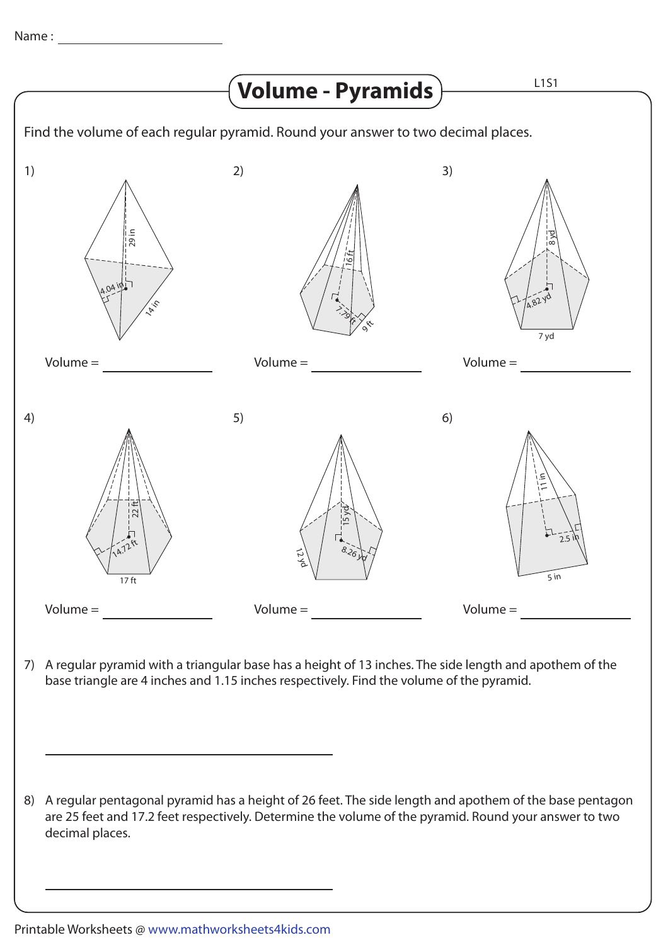